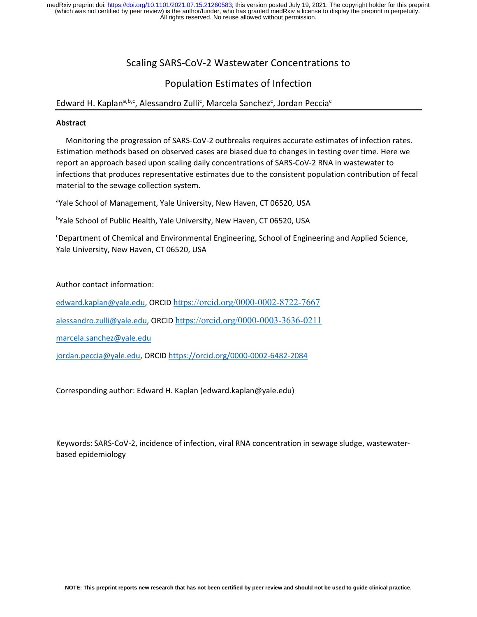# Scaling SARS‐CoV‐2 Wastewater Concentrations to

# Population Estimates of Infection

## Edward H. Kaplan<sup>a,b,c</sup>, Alessandro Zulli<sup>c</sup>, Marcela Sanchez<sup>c</sup>, Jordan Peccia<sup>c</sup>

### **Abstract**

 Monitoring the progression of SARS‐CoV‐2 outbreaks requires accurate estimates of infection rates. Estimation methods based on observed cases are biased due to changes in testing over time. Here we report an approach based upon scaling daily concentrations of SARS‐CoV‐2 RNA in wastewater to infections that produces representative estimates due to the consistent population contribution of fecal material to the sewage collection system.

<sup>a</sup>Yale School of Management, Yale University, New Haven, CT 06520, USA

<sup>b</sup>Yale School of Public Health, Yale University, New Haven, CT 06520, USA

c Department of Chemical and Environmental Engineering, School of Engineering and Applied Science, Yale University, New Haven, CT 06520, USA

Author contact information:

edward.kaplan@yale.edu, ORCID https://orcid.org/0000-0002-8722-7667

alessandro.zulli@yale.edu, ORCID https://orcid.org/0000-0003-3636-0211

marcela.sanchez@yale.edu

jordan.peccia@yale.edu, ORCID https://orcid.org/0000-0002-6482-2084

Corresponding author: Edward H. Kaplan (edward.kaplan@yale.edu)

Keywords: SARS‐CoV‐2, incidence of infection, viral RNA concentration in sewage sludge, wastewater‐ based epidemiology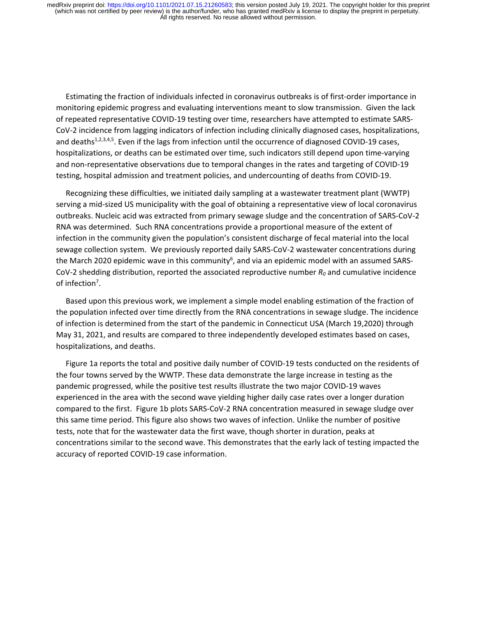Estimating the fraction of individuals infected in coronavirus outbreaks is of first‐order importance in monitoring epidemic progress and evaluating interventions meant to slow transmission. Given the lack of repeated representative COVID‐19 testing over time, researchers have attempted to estimate SARS‐ CoV-2 incidence from lagging indicators of infection including clinically diagnosed cases, hospitalizations, and deaths<sup>1,2,3,4,5</sup>. Even if the lags from infection until the occurrence of diagnosed COVID-19 cases, hospitalizations, or deaths can be estimated over time, such indicators still depend upon time‐varying and non‐representative observations due to temporal changes in the rates and targeting of COVID‐19 testing, hospital admission and treatment policies, and undercounting of deaths from COVID‐19.

 Recognizing these difficulties, we initiated daily sampling at a wastewater treatment plant (WWTP) serving a mid‐sized US municipality with the goal of obtaining a representative view of local coronavirus outbreaks. Nucleic acid was extracted from primary sewage sludge and the concentration of SARS‐CoV‐2 RNA was determined. Such RNA concentrations provide a proportional measure of the extent of infection in the community given the population's consistent discharge of fecal material into the local sewage collection system. We previously reported daily SARS-CoV-2 wastewater concentrations during the March 2020 epidemic wave in this community<sup>6</sup>, and via an epidemic model with an assumed SARS-CoV‐2 shedding distribution, reported the associated reproductive number *R0* and cumulative incidence of infection<sup>7</sup>.

 Based upon this previous work, we implement a simple model enabling estimation of the fraction of the population infected over time directly from the RNA concentrations in sewage sludge. The incidence of infection is determined from the start of the pandemic in Connecticut USA (March 19,2020) through May 31, 2021, and results are compared to three independently developed estimates based on cases, hospitalizations, and deaths.

 Figure 1a reports the total and positive daily number of COVID‐19 tests conducted on the residents of the four towns served by the WWTP. These data demonstrate the large increase in testing as the pandemic progressed, while the positive test results illustrate the two major COVID‐19 waves experienced in the area with the second wave yielding higher daily case rates over a longer duration compared to the first. Figure 1b plots SARS‐CoV‐2 RNA concentration measured in sewage sludge over this same time period. This figure also shows two waves of infection. Unlike the number of positive tests, note that for the wastewater data the first wave, though shorter in duration, peaks at concentrations similar to the second wave. This demonstrates that the early lack of testing impacted the accuracy of reported COVID‐19 case information.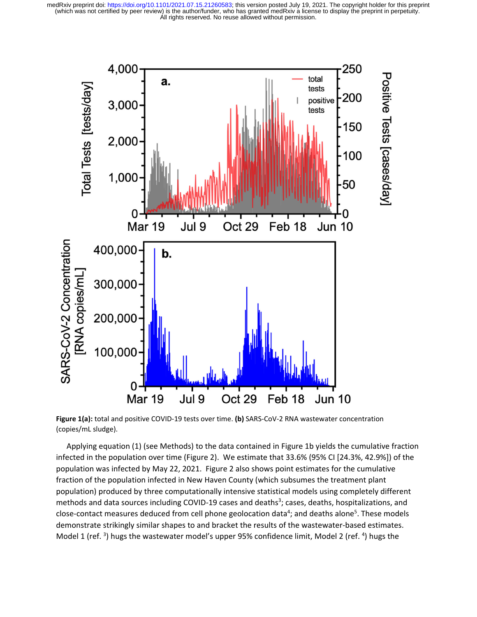

**Figure 1(a):** total and positive COVID‐19 tests over time. **(b)** SARS‐CoV‐2 RNA wastewater concentration (copies/mL sludge).

 Applying equation (1) (see Methods) to the data contained in Figure 1b yields the cumulative fraction infected in the population over time (Figure 2). We estimate that 33.6% (95% CI [24.3%, 42.9%]) of the population was infected by May 22, 2021. Figure 2 also shows point estimates for the cumulative fraction of the population infected in New Haven County (which subsumes the treatment plant population) produced by three computationally intensive statistical models using completely different methods and data sources including COVID-19 cases and deaths<sup>3</sup>; cases, deaths, hospitalizations, and close-contact measures deduced from cell phone geolocation data<sup>4</sup>; and deaths alone<sup>5</sup>. These models demonstrate strikingly similar shapes to and bracket the results of the wastewater‐based estimates. Model 1 (ref. <sup>3</sup>) hugs the wastewater model's upper 95% confidence limit, Model 2 (ref. <sup>4</sup>) hugs the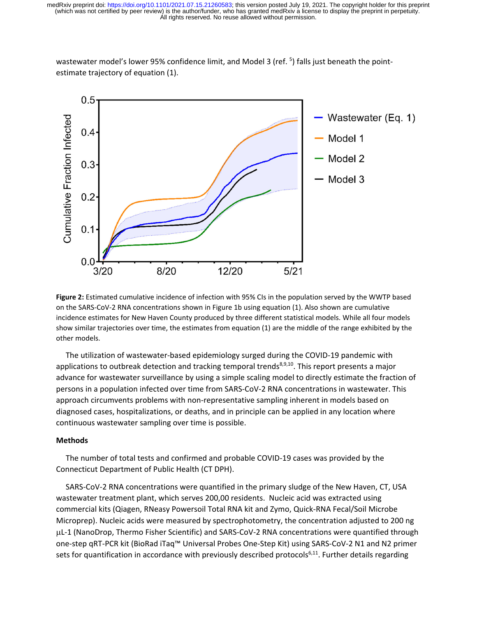

wastewater model's lower 95% confidence limit, and Model 3 (ref. <sup>5</sup>) falls just beneath the pointestimate trajectory of equation (1).

**Figure 2:** Estimated cumulative incidence of infection with 95% CIs in the population served by the WWTP based on the SARS‐CoV‐2 RNA concentrations shown in Figure 1b using equation (1). Also shown are cumulative incidence estimates for New Haven County produced by three different statistical models. While all four models show similar trajectories over time, the estimates from equation (1) are the middle of the range exhibited by the other models.

The utilization of wastewater‐based epidemiology surged during the COVID‐19 pandemic with applications to outbreak detection and tracking temporal trends<sup>8,9,10</sup>. This report presents a major advance for wastewater surveillance by using a simple scaling model to directly estimate the fraction of persons in a population infected over time from SARS‐CoV‐2 RNA concentrations in wastewater. This approach circumvents problems with non‐representative sampling inherent in models based on diagnosed cases, hospitalizations, or deaths, and in principle can be applied in any location where continuous wastewater sampling over time is possible.

#### **Methods**

 The number of total tests and confirmed and probable COVID‐19 cases was provided by the Connecticut Department of Public Health (CT DPH).

 SARS‐CoV‐2 RNA concentrations were quantified in the primary sludge of the New Haven, CT, USA wastewater treatment plant, which serves 200,00 residents. Nucleic acid was extracted using commercial kits (Qiagen, RNeasy Powersoil Total RNA kit and Zymo, Quick‐RNA Fecal/Soil Microbe Microprep). Nucleic acids were measured by spectrophotometry, the concentration adjusted to 200 ng L‐1 (NanoDrop, Thermo Fisher Scientific) and SARS‐CoV‐2 RNA concentrations were quantified through one‐step qRT‐PCR kit (BioRad iTaq™ Universal Probes One‐Step Kit) using SARS‐CoV‐2 N1 and N2 primer sets for quantification in accordance with previously described protocols<sup>6,11</sup>. Further details regarding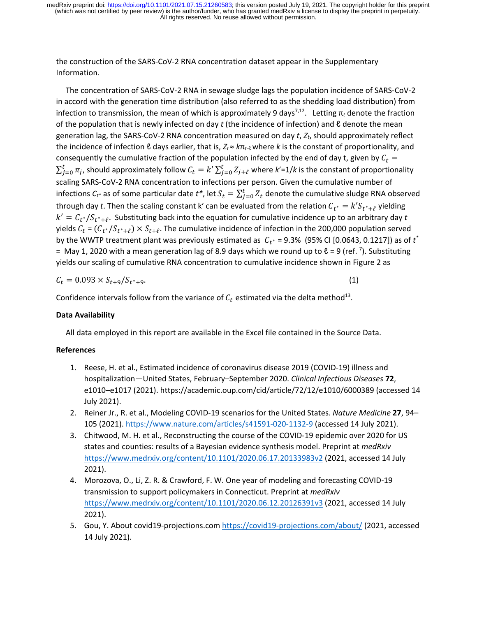the construction of the SARS‐CoV‐2 RNA concentration dataset appear in the Supplementary Information.

 The concentration of SARS‐CoV‐2 RNA in sewage sludge lags the population incidence of SARS‐CoV‐2 in accord with the generation time distribution (also referred to as the shedding load distribution) from infection to transmission, the mean of which is approximately 9 days<sup>7,12</sup>. Letting  $\pi_t$  denote the fraction of the population that is newly infected on day *t* (the incidence of infection) and ℓ denote the mean generation lag, the SARS‐CoV‐2 RNA concentration measured on day *t*, *Zt*, should approximately reflect the incidence of infection ℓ days earlier, that is, *Zt* ≈ *k*π*t*‐ℓ where *k* is the constant of proportionality, and consequently the cumulative fraction of the population infected by the end of day t, given by  $C_t$  =  $\sum_{j=0}^t \pi_j$ , should approximately follow  $\mathcal{C}_t=k'\sum_{j=0}^t Z_{j+\ell}$  where  $k'$ =1/ $k$  is the constant of proportionality scaling SARS‐CoV‐2 RNA concentration to infections per person. Given the cumulative number of infections  $C_{t^*}$  as of some particular date  $t^*$ , let  $S_t = \sum_{j=0}^t Z_t$  denote the cumulative sludge RNA observed through day *t*. Then the scaling constant k' can be evaluated from the relation  $C_{t^*} = k' S_{t^* + \ell}$  yielding  $k' = C_{t^*}/S_{t^*+\ell}$ . Substituting back into the equation for cumulative incidence up to an arbitrary day *t* yields  $C_t = (C_{t^*}/S_{t^*+\ell}) \times S_{t+\ell}$ . The cumulative incidence of infection in the 200,000 population served by the WWTP treatment plant was previously estimated as  $|C_{t^*}|$  = 9.3% (95% CI [0.0643, 0.1217]) as of  $t^*$ = May 1, 2020 with a mean generation lag of 8.9 days which we round up to  $\ell$  = 9 (ref.  $\bar{\ }$ ). Substituting yields our scaling of cumulative RNA concentration to cumulative incidence shown in Figure 2 as

$$
C_t = 0.093 \times S_{t+9}/S_{t^*+9}.
$$
 (1)

Confidence intervals follow from the variance of  $C_t$  estimated via the delta method<sup>13</sup>.

### **Data Availability**

All data employed in this report are available in the Excel file contained in the Source Data.

#### **References**

- 1. Reese, H. et al., Estimated incidence of coronavirus disease 2019 (COVID‐19) illness and hospitalization—United States, February–September 2020. *Clinical Infectious Diseases* **72**, e1010–e1017 (2021). https://academic.oup.com/cid/article/72/12/e1010/6000389 (accessed 14 July 2021).
- 2. Reiner Jr., R. et al., Modeling COVID‐19 scenarios for the United States. *Nature Medicine* **27**, 94– 105 (2021). https://www.nature.com/articles/s41591‐020‐1132‐9 (accessed 14 July 2021).
- 3. Chitwood, M. H. et al., Reconstructing the course of the COVID‐19 epidemic over 2020 for US states and counties: results of a Bayesian evidence synthesis model. Preprint at *medRxiv* https://www.medrxiv.org/content/10.1101/2020.06.17.20133983v2 (2021, accessed 14 July 2021).
- 4. Morozova, O., Li, Z. R. & Crawford, F. W. One year of modeling and forecasting COVID‐19 transmission to support policymakers in Connecticut. Preprint at *medRxiv* https://www.medrxiv.org/content/10.1101/2020.06.12.20126391v3 (2021, accessed 14 July 2021).
- 5. Gou, Y. About covid19-projections.com https://covid19-projections.com/about/ (2021, accessed 14 July 2021).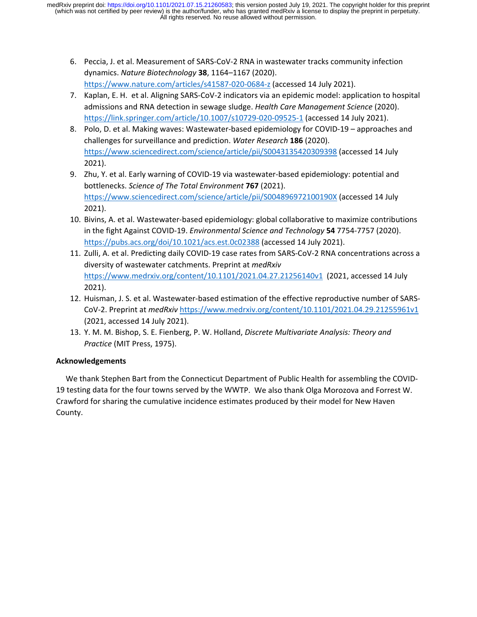- 6. Peccia, J. et al. Measurement of SARS‐CoV‐2 RNA in wastewater tracks community infection dynamics. *Nature Biotechnology* **38**, 1164–1167 (2020). https://www.nature.com/articles/s41587‐020‐0684‐z (accessed 14 July 2021).
- 7. Kaplan, E. H. et al. Aligning SARS‐CoV‐2 indicators via an epidemic model: application to hospital admissions and RNA detection in sewage sludge. *Health Care Management Science* (2020). https://link.springer.com/article/10.1007/s10729‐020‐09525‐1 (accessed 14 July 2021).
- 8. Polo, D. et al. Making waves: Wastewater‐based epidemiology for COVID‐19 approaches and challenges for surveillance and prediction. *Water Research* **186** (2020). https://www.sciencedirect.com/science/article/pii/S0043135420309398 (accessed 14 July 2021).
- 9. Zhu, Y. et al. Early warning of COVID-19 via wastewater-based epidemiology: potential and bottlenecks. *Science of The Total Environment* **767** (2021). https://www.sciencedirect.com/science/article/pii/S004896972100190X (accessed 14 July 2021).
- 10. Bivins, A. et al. Wastewater‐based epidemiology: global collaborative to maximize contributions in the fight Against COVID‐19. *Environmental Science and Technology* **54** 7754‐7757 (2020). https://pubs.acs.org/doi/10.1021/acs.est.0c02388 (accessed 14 July 2021).
- 11. Zulli, A. et al. Predicting daily COVID‐19 case rates from SARS‐CoV‐2 RNA concentrations across a diversity of wastewater catchments. Preprint at *medRxiv* https://www.medrxiv.org/content/10.1101/2021.04.27.21256140v1 (2021, accessed 14 July 2021).
- 12. Huisman, J. S. et al. Wastewater‐based estimation of the effective reproductive number of SARS‐ CoV‐2. Preprint at *medRxiv* https://www.medrxiv.org/content/10.1101/2021.04.29.21255961v1 (2021, accessed 14 July 2021).
- 13. Y. M. M. Bishop, S. E. Fienberg, P. W. Holland, *Discrete Multivariate Analysis: Theory and Practice* (MIT Press, 1975).

## **Acknowledgements**

 We thank Stephen Bart from the Connecticut Department of Public Health for assembling the COVID‐ 19 testing data for the four towns served by the WWTP. We also thank Olga Morozova and Forrest W. Crawford for sharing the cumulative incidence estimates produced by their model for New Haven County.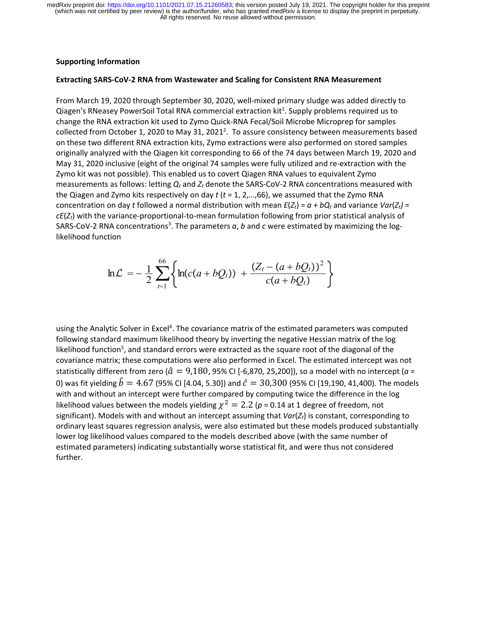### **Supporting Information**

### **Extracting SARS‐CoV‐2 RNA from Wastewater and Scaling for Consistent RNA Measurement**

From March 19, 2020 through September 30, 2020, well‐mixed primary sludge was added directly to Qiagen's RNeasey PowerSoil Total RNA commercial extraction kit<sup>1</sup>. Supply problems required us to change the RNA extraction kit used to Zymo Quick‐RNA Fecal/Soil Microbe Microprep for samples collected from October 1, 2020 to May 31, 2021<sup>2</sup>. To assure consistency between measurements based on these two different RNA extraction kits, Zymo extractions were also performed on stored samples originally analyzed with the Qiagen kit corresponding to 66 of the 74 days between March 19, 2020 and May 31, 2020 inclusive (eight of the original 74 samples were fully utilized and re‐extraction with the Zymo kit was not possible). This enabled us to covert Qiagen RNA values to equivalent Zymo measurements as follows: letting *Qt* and *Zt* denote the SARS‐CoV‐2 RNA concentrations measured with the Qiagen and Zymo kits respectively on day *t* (*t* = 1, 2,…,66), we assumed that the Zymo RNA concentration on day *t* followed a normal distribution with mean  $E(Z_t) = a + bQ_t$  and variance  $Var(Z_t) =$ *cE*(*Zt*) with the variance‐proportional‐to‐mean formulation following from prior statistical analysis of SARS-CoV-2 RNA concentrations<sup>3</sup>. The parameters *a*, *b* and *c* were estimated by maximizing the loglikelihood function

$$
\ln \mathcal{L} = -\frac{1}{2} \sum_{t=1}^{66} \left\{ \ln(c(a+bQ_t)) + \frac{(Z_t - (a+bQ_t))^2}{c(a+bQ_t)} \right\}
$$

using the Analytic Solver in Excel<sup>4</sup>. The covariance matrix of the estimated parameters was computed following standard maximum likelihood theory by inverting the negative Hessian matrix of the log likelihood function<sup>5</sup>, and standard errors were extracted as the square root of the diagonal of the covariance matrix; these computations were also performed in Excel. The estimated intercept was not statistically different from zero ( $\hat{a} = 9,180, 95\%$  CI [-6,870, 25,200]), so a model with no intercept ( $a =$ 0) was fit yielding  $\hat{b} = 4.67$  (95% CI [4.04, 5.30]) and  $\hat{c} = 30,300$  (95% CI [19,190, 41,400). The models with and without an intercept were further compared by computing twice the difference in the log likelihood values between the models yielding  $\chi^2 = 2.2$  ( $p = 0.14$  at 1 degree of freedom, not significant). Models with and without an intercept assuming that *Var(Z<sub>t</sub>)* is constant, corresponding to ordinary least squares regression analysis, were also estimated but these models produced substantially lower log likelihood values compared to the models described above (with the same number of estimated parameters) indicating substantially worse statistical fit, and were thus not considered further.